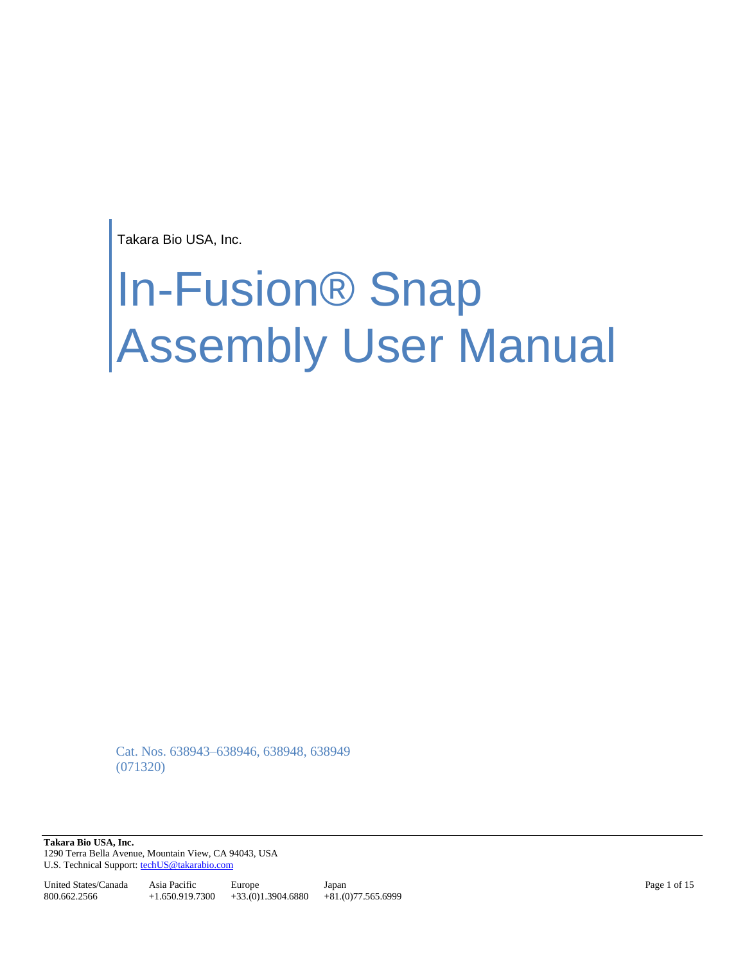Takara Bio USA, Inc.

# In-Fusion® Snap Assembly User Manual

Cat. Nos. 638943–638946, 638948, 638949 (071320)

**Takara Bio USA, Inc.**  1290 Terra Bella Avenue, Mountain View, CA 94043, USA U.S. Technical Support[: techUS@takarabio.com](mailto:techUS@takarabio.com)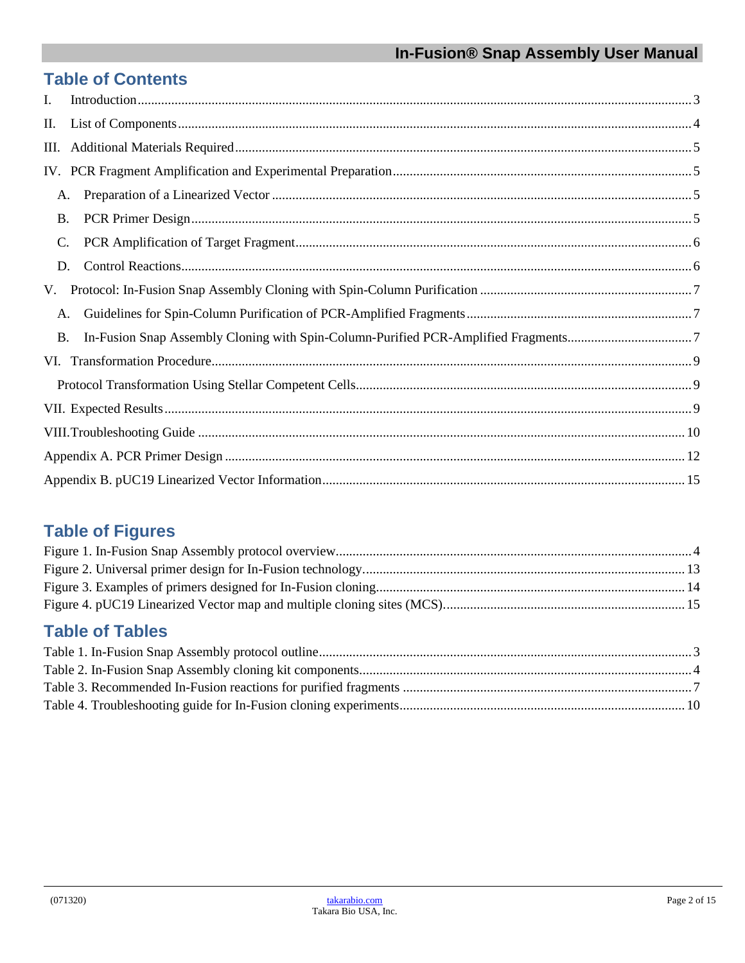# **Table of Contents**

| I.             |  |
|----------------|--|
| П.             |  |
| III.           |  |
|                |  |
| А.             |  |
| <b>B.</b>      |  |
| $\mathbf{C}$ . |  |
| D.             |  |
| V.             |  |
| A.             |  |
| <b>B.</b>      |  |
|                |  |
|                |  |
|                |  |
|                |  |
|                |  |
|                |  |

# **Table of Figures**

# **Table of Tables**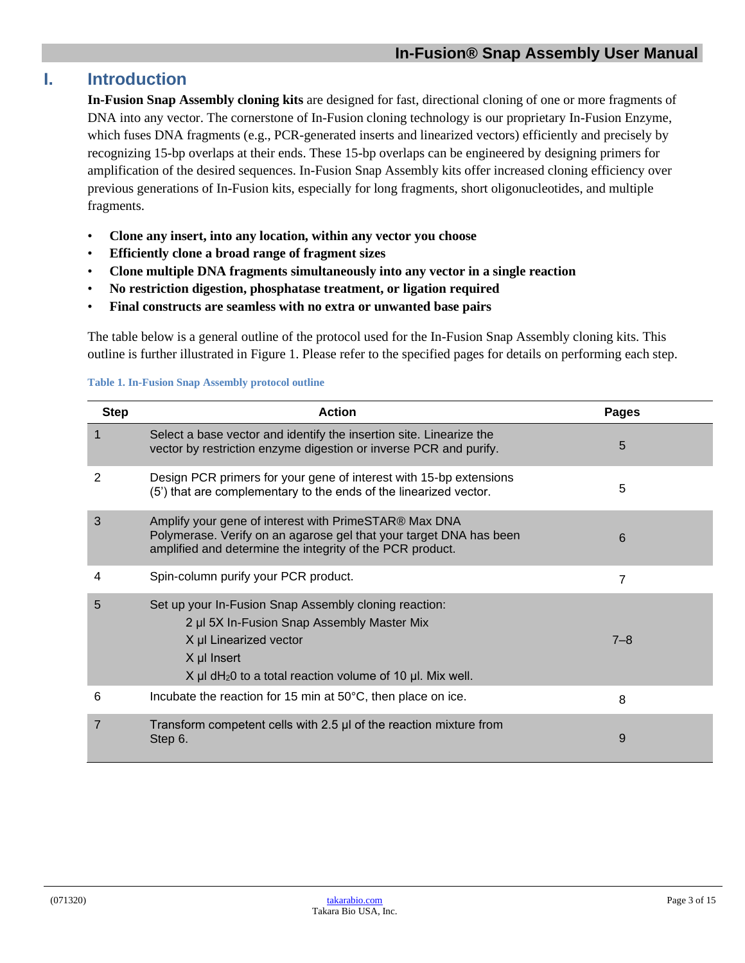## <span id="page-2-0"></span>**I. Introduction**

**In-Fusion Snap Assembly cloning kits** are designed for fast, directional cloning of one or more fragments of DNA into any vector. The cornerstone of In-Fusion cloning technology is our proprietary In-Fusion Enzyme, which fuses DNA fragments (e.g., PCR-generated inserts and linearized vectors) efficiently and precisely by recognizing 15-bp overlaps at their ends. These 15-bp overlaps can be engineered by designing primers for amplification of the desired sequences. In-Fusion Snap Assembly kits offer increased cloning efficiency over previous generations of In-Fusion kits, especially for long fragments, short oligonucleotides, and multiple fragments.

- **Clone any insert, into any location, within any vector you choose**
- **Efficiently clone a broad range of fragment sizes**
- **Clone multiple DNA fragments simultaneously into any vector in a single reaction**
- **No restriction digestion, phosphatase treatment, or ligation required**
- **Final constructs are seamless with no extra or unwanted base pairs**

The table below is a general outline of the protocol used for the In-Fusion Snap Assembly cloning kits. This outline is further illustrated in Figure 1. Please refer to the specified pages for details on performing each step.

#### <span id="page-2-1"></span>**Table 1. In-Fusion Snap Assembly protocol outline**

| <b>Step</b> | <b>Action</b>                                                                                                                                                                                                                    | <b>Pages</b> |
|-------------|----------------------------------------------------------------------------------------------------------------------------------------------------------------------------------------------------------------------------------|--------------|
|             | Select a base vector and identify the insertion site. Linearize the<br>vector by restriction enzyme digestion or inverse PCR and purify.                                                                                         | 5            |
| 2           | Design PCR primers for your gene of interest with 15-bp extensions<br>(5) that are complementary to the ends of the linearized vector.                                                                                           | 5            |
| 3           | Amplify your gene of interest with PrimeSTAR® Max DNA<br>Polymerase. Verify on an agarose gel that your target DNA has been<br>amplified and determine the integrity of the PCR product.                                         | 6            |
| 4           | Spin-column purify your PCR product.                                                                                                                                                                                             | 7            |
| 5           | Set up your In-Fusion Snap Assembly cloning reaction:<br>2 µl 5X In-Fusion Snap Assembly Master Mix<br>X µl Linearized vector<br>X µl Insert<br>$X \mu I$ dH <sub>2</sub> 0 to a total reaction volume of 10 $\mu I$ . Mix well. | $7 - 8$      |
| 6           | Incubate the reaction for 15 min at 50°C, then place on ice.                                                                                                                                                                     | 8            |
| 7           | Transform competent cells with 2.5 µl of the reaction mixture from<br>Step 6.                                                                                                                                                    | 9            |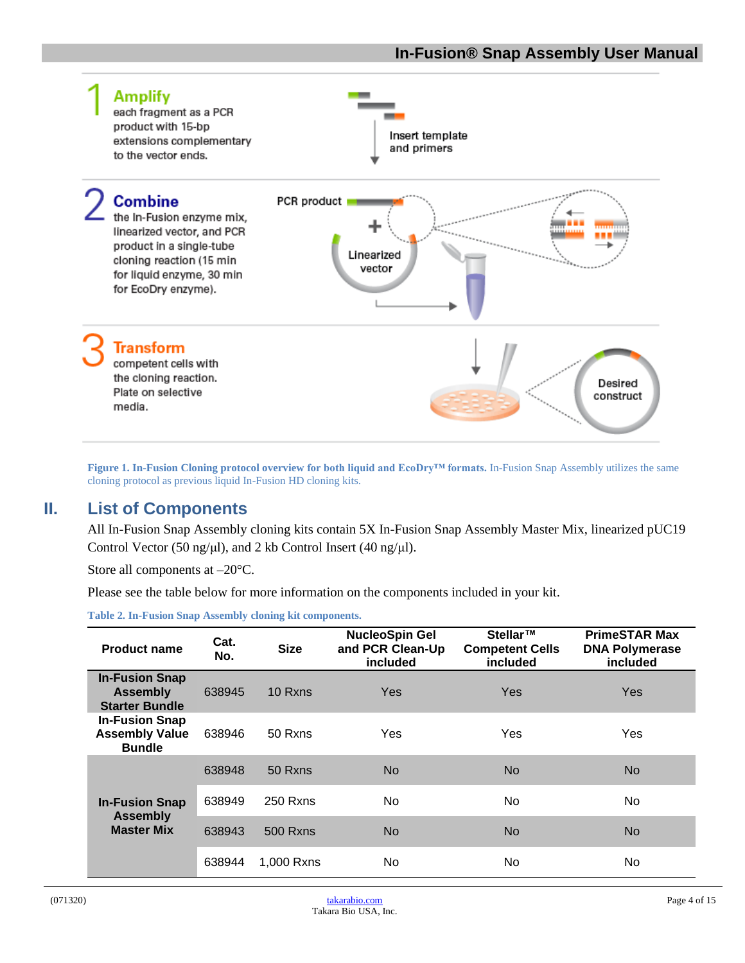

**Figure 1. In-Fusion Cloning protocol overview for both liquid and EcoDry™ formats.** In-Fusion Snap Assembly utilizes the same cloning protocol as previous liquid In-Fusion HD cloning kits.

#### <span id="page-3-1"></span><span id="page-3-0"></span>**II. List of Components**

All In-Fusion Snap Assembly cloning kits contain 5X In-Fusion Snap Assembly Master Mix, linearized pUC19 Control Vector (50 ng/μl), and 2 kb Control Insert (40 ng/μl).

Store all components at –20°C.

Please see the table below for more information on the components included in your kit.

<span id="page-3-2"></span>**Table 2. In-Fusion Snap Assembly cloning kit components.**

| <b>Product name</b>                                               | Cat.<br>No. | <b>Size</b>     | <b>NucleoSpin Gel</b><br>and PCR Clean-Up<br>included | Stellar™<br><b>Competent Cells</b><br>included | <b>PrimeSTAR Max</b><br><b>DNA Polymerase</b><br>included |
|-------------------------------------------------------------------|-------------|-----------------|-------------------------------------------------------|------------------------------------------------|-----------------------------------------------------------|
| <b>In-Fusion Snap</b><br><b>Assembly</b><br><b>Starter Bundle</b> | 638945      | 10 Rxns         | <b>Yes</b>                                            | <b>Yes</b>                                     | <b>Yes</b>                                                |
| <b>In-Fusion Snap</b><br><b>Assembly Value</b><br><b>Bundle</b>   | 638946      | 50 Rxns         | Yes                                                   | Yes                                            | <b>Yes</b>                                                |
|                                                                   | 638948      | 50 Rxns         | <b>No</b>                                             | <b>No</b>                                      | <b>No</b>                                                 |
| <b>In-Fusion Snap</b>                                             | 638949      | 250 Rxns        | No.                                                   | N <sub>o</sub>                                 | No.                                                       |
| <b>Assembly</b><br><b>Master Mix</b>                              | 638943      | <b>500 Rxns</b> | No                                                    | <b>No</b>                                      | <b>No</b>                                                 |
|                                                                   | 638944      | 1,000 Rxns      | No.                                                   | No                                             | No.                                                       |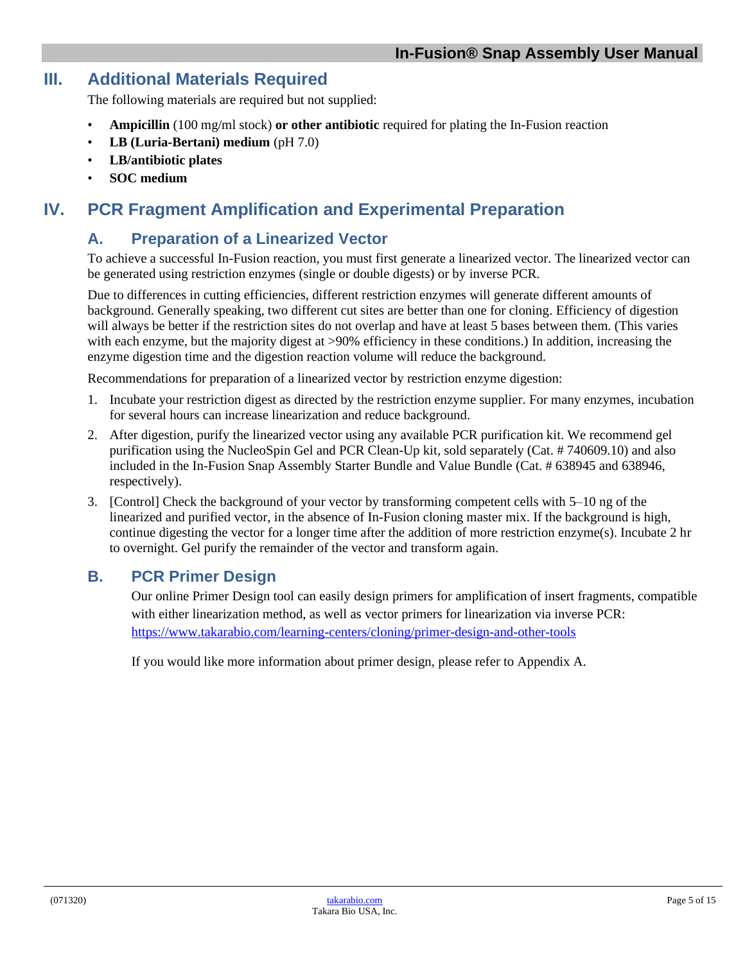## <span id="page-4-0"></span>**III. Additional Materials Required**

The following materials are required but not supplied:

- **Ampicillin** (100 mg/ml stock) **or other antibiotic** required for plating the In-Fusion reaction
- **LB (Luria-Bertani) medium** (pH 7.0)
- **LB/antibiotic plates**
- **SOC medium**

# <span id="page-4-2"></span><span id="page-4-1"></span>**IV. PCR Fragment Amplification and Experimental Preparation**

#### **A. Preparation of a Linearized Vector**

To achieve a successful In-Fusion reaction, you must first generate a linearized vector. The linearized vector can be generated using restriction enzymes (single or double digests) or by inverse PCR.

Due to differences in cutting efficiencies, different restriction enzymes will generate different amounts of background. Generally speaking, two different cut sites are better than one for cloning. Efficiency of digestion will always be better if the restriction sites do not overlap and have at least 5 bases between them. (This varies with each enzyme, but the majority digest at >90% efficiency in these conditions.) In addition, increasing the enzyme digestion time and the digestion reaction volume will reduce the background.

Recommendations for preparation of a linearized vector by restriction enzyme digestion:

- 1. Incubate your restriction digest as directed by the restriction enzyme supplier. For many enzymes, incubation for several hours can increase linearization and reduce background.
- 2. After digestion, purify the linearized vector using any available PCR purification kit. We recommend gel purification using the NucleoSpin Gel and PCR Clean-Up kit, sold separately (Cat. # 740609.10) and also included in the In-Fusion Snap Assembly Starter Bundle and Value Bundle (Cat. # 638945 and 638946, respectively).
- 3. [Control] Check the background of your vector by transforming competent cells with 5–10 ng of the linearized and purified vector, in the absence of In-Fusion cloning master mix. If the background is high, continue digesting the vector for a longer time after the addition of more restriction enzyme(s). Incubate 2 hr to overnight. Gel purify the remainder of the vector and transform again.

#### <span id="page-4-3"></span>**B. PCR Primer Design**

Our online Primer Design tool can easily design primers for amplification of insert fragments, compatible with either linearization method, as well as vector primers for linearization via inverse PCR: <https://www.takarabio.com/learning-centers/cloning/primer-design-and-other-tools>

If you would like more information about primer design, please refer to Appendix A.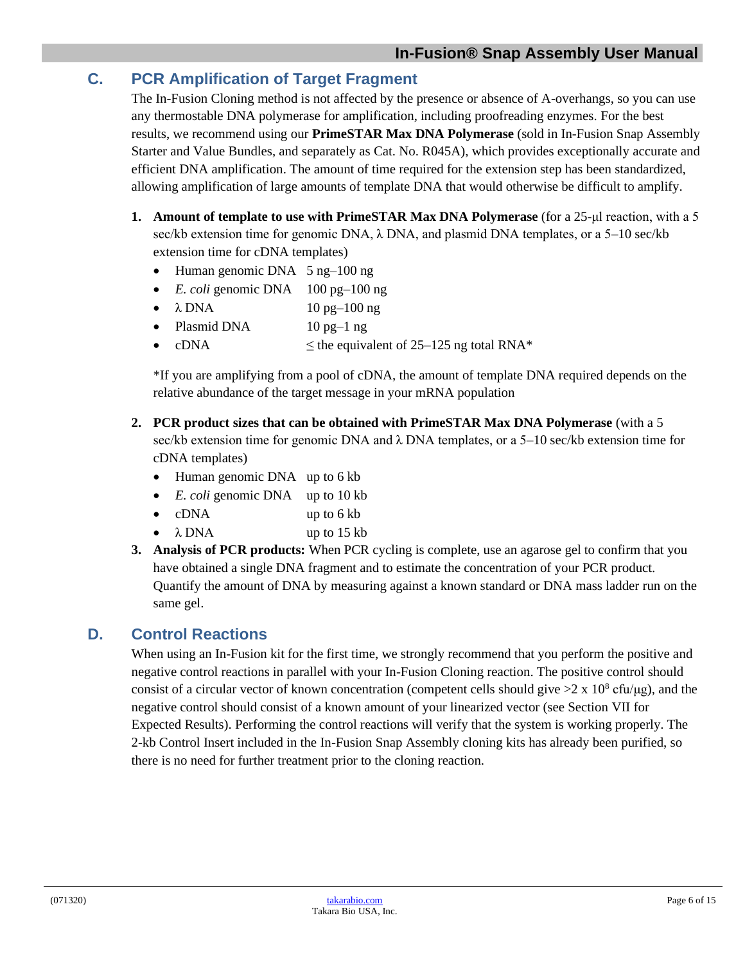## <span id="page-5-0"></span>**C. PCR Amplification of Target Fragment**

The In-Fusion Cloning method is not affected by the presence or absence of A-overhangs, so you can use any thermostable DNA polymerase for amplification, including proofreading enzymes. For the best results, we recommend using our **PrimeSTAR Max DNA Polymerase** (sold in In-Fusion Snap Assembly Starter and Value Bundles, and separately as Cat. No. R045A), which provides exceptionally accurate and efficient DNA amplification. The amount of time required for the extension step has been standardized, allowing amplification of large amounts of template DNA that would otherwise be difficult to amplify.

- **1. Amount of template to use with PrimeSTAR Max DNA Polymerase** (for a 25-μl reaction, with a 5 sec/kb extension time for genomic DNA, λ DNA, and plasmid DNA templates, or a 5–10 sec/kb extension time for cDNA templates)
	- Human genomic DNA 5 ng-100 ng
	- *E. coli* genomic DNA 100 pg–100 ng
	- $\lambda$  DNA  $10 \text{ pg} 100 \text{ ng}$
	- Plasmid DNA  $10 \text{ pg} 1 \text{ ng}$
	- cDNA  $\leq$  the equivalent of 25–125 ng total RNA\*

\*If you are amplifying from a pool of cDNA, the amount of template DNA required depends on the relative abundance of the target message in your mRNA population

- **2. PCR product sizes that can be obtained with PrimeSTAR Max DNA Polymerase** (with a 5 sec/kb extension time for genomic DNA and λ DNA templates, or a 5–10 sec/kb extension time for cDNA templates)
	- Human genomic DNA up to 6 kb
	- *E. coli* genomic DNA up to 10 kb
	- cDNA up to 6 kb
	- $\lambda$  DNA up to 15 kb
- **3. Analysis of PCR products:** When PCR cycling is complete, use an agarose gel to confirm that you have obtained a single DNA fragment and to estimate the concentration of your PCR product. Quantify the amount of DNA by measuring against a known standard or DNA mass ladder run on the same gel.

#### <span id="page-5-1"></span>**D. Control Reactions**

When using an In-Fusion kit for the first time, we strongly recommend that you perform the positive and negative control reactions in parallel with your In-Fusion Cloning reaction. The positive control should consist of a circular vector of known concentration (competent cells should give  $>2 \times 10^8$  cfu/μg), and the negative control should consist of a known amount of your linearized vector (see Section VII for Expected Results). Performing the control reactions will verify that the system is working properly. The 2-kb Control Insert included in the In-Fusion Snap Assembly cloning kits has already been purified, so there is no need for further treatment prior to the cloning reaction.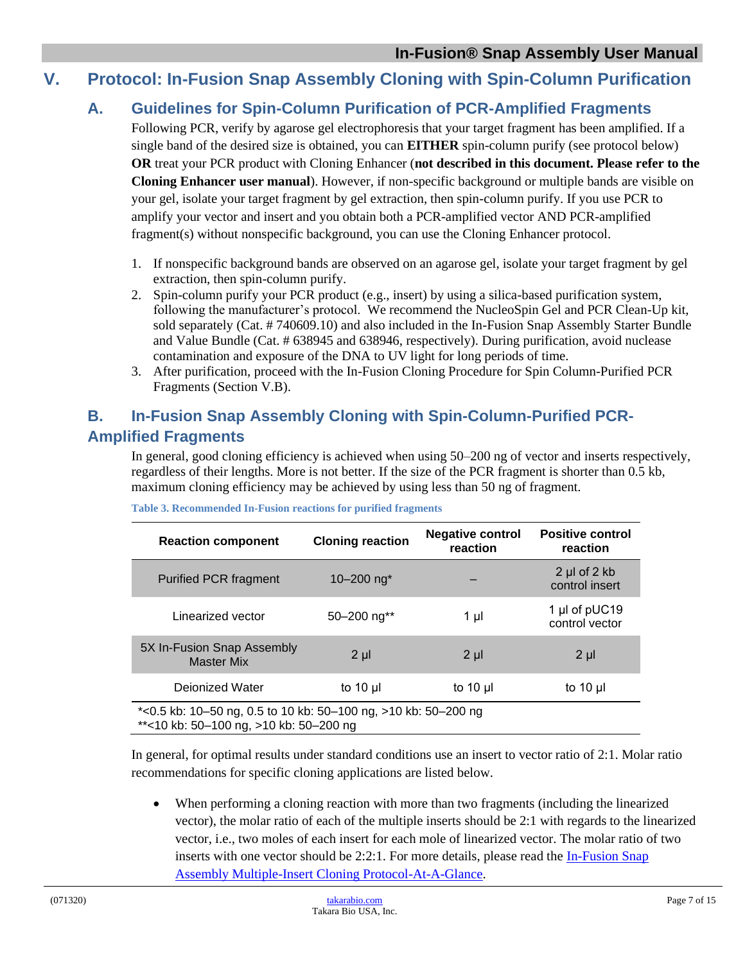## <span id="page-6-1"></span><span id="page-6-0"></span>**V. Protocol: In-Fusion Snap Assembly Cloning with Spin-Column Purification**

## **A. Guidelines for Spin-Column Purification of PCR-Amplified Fragments**

Following PCR, verify by agarose gel electrophoresis that your target fragment has been amplified. If a single band of the desired size is obtained, you can **EITHER** spin-column purify (see protocol below) **OR** treat your PCR product with Cloning Enhancer (**not described in this document. Please refer to the Cloning Enhancer user manual**). However, if non-specific background or multiple bands are visible on your gel, isolate your target fragment by gel extraction, then spin-column purify. If you use PCR to amplify your vector and insert and you obtain both a PCR-amplified vector AND PCR-amplified fragment(s) without nonspecific background, you can use the Cloning Enhancer protocol.

- 1. If nonspecific background bands are observed on an agarose gel, isolate your target fragment by gel extraction, then spin-column purify.
- 2. Spin-column purify your PCR product (e.g., insert) by using a silica-based purification system, following the manufacturer's protocol. We recommend the NucleoSpin Gel and PCR Clean-Up kit, sold separately (Cat. # 740609.10) and also included in the In-Fusion Snap Assembly Starter Bundle and Value Bundle (Cat. # 638945 and 638946, respectively). During purification, avoid nuclease contamination and exposure of the DNA to UV light for long periods of time.
- 3. After purification, proceed with the In-Fusion Cloning Procedure for Spin Column-Purified PCR Fragments (Section V.B).

# <span id="page-6-2"></span>**B. In-Fusion Snap Assembly Cloning with Spin-Column-Purified PCR-Amplified Fragments**

In general, good cloning efficiency is achieved when using 50–200 ng of vector and inserts respectively, regardless of their lengths. More is not better. If the size of the PCR fragment is shorter than 0.5 kb, maximum cloning efficiency may be achieved by using less than 50 ng of fragment.

| <b>Reaction component</b>                                                                                | <b>Cloning reaction</b>   | <b>Negative control</b><br>reaction | <b>Positive control</b><br>reaction     |  |
|----------------------------------------------------------------------------------------------------------|---------------------------|-------------------------------------|-----------------------------------------|--|
| <b>Purified PCR fragment</b>                                                                             | 10 $-200$ ng <sup>*</sup> |                                     | $2 \mu$ of $2 \kappa$<br>control insert |  |
| Linearized vector                                                                                        | $50 - 200$ ng**           | $1\mu$                              | 1 µl of pUC19<br>control vector         |  |
| 5X In-Fusion Snap Assembly<br><b>Master Mix</b>                                                          | $2 \mu$                   | $2 \mu$                             | $2 \mu$                                 |  |
| Dejonized Water                                                                                          | to 10 $\mu$               | to $10 \mu$                         | to 10 $\mu$                             |  |
| *<0.5 kb: 10-50 ng, 0.5 to 10 kb: 50-100 ng, >10 kb: 50-200 ng<br>**<10 kb: 50-100 ng, >10 kb: 50-200 ng |                           |                                     |                                         |  |

<span id="page-6-3"></span>

|  | <b>Table 3. Recommended In-Fusion reactions for purified fragments</b> |  |  |  |
|--|------------------------------------------------------------------------|--|--|--|
|  |                                                                        |  |  |  |

In general, for optimal results under standard conditions use an insert to vector ratio of 2:1. Molar ratio recommendations for specific cloning applications are listed below.

• When performing a cloning reaction with more than two fragments (including the linearized vector), the molar ratio of each of the multiple inserts should be 2:1 with regards to the linearized vector, i.e., two moles of each insert for each mole of linearized vector. The molar ratio of two inserts with one vector should be 2:2:1. For more details, please read the In-Fusion Snap Assembly [Multiple-Insert Cloning Protocol-At-A-Glance.](https://www.takarabio.com/resourcedocument/x111003)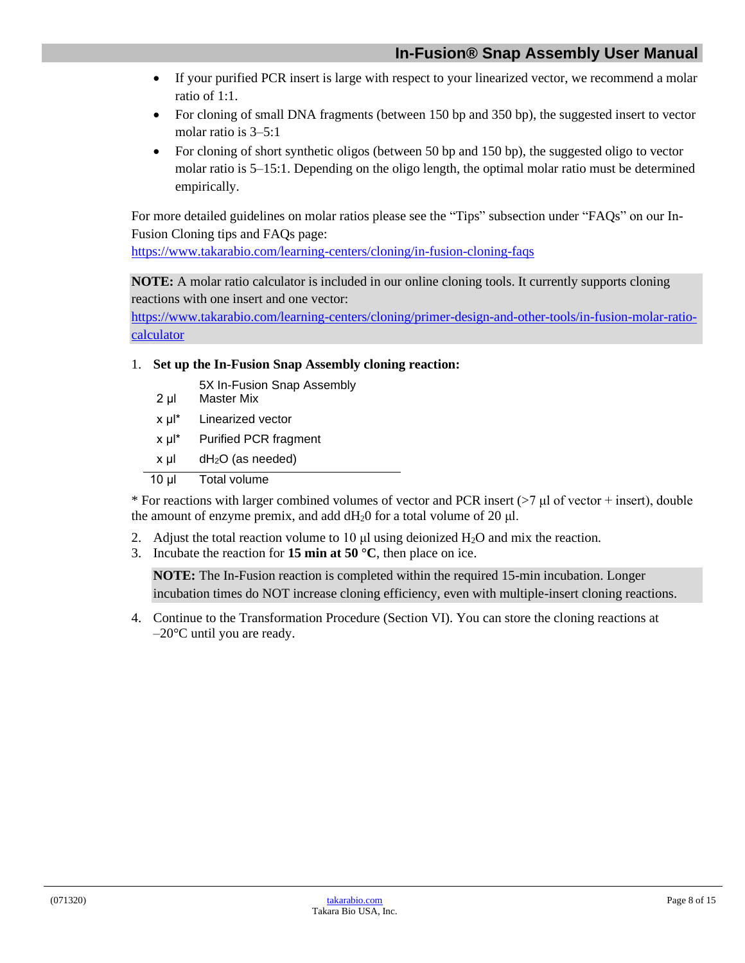- If your purified PCR insert is large with respect to your linearized vector, we recommend a molar ratio of 1:1.
- For cloning of small DNA fragments (between 150 bp and 350 bp), the suggested insert to vector molar ratio is 3–5:1
- For cloning of short synthetic oligos (between 50 bp and 150 bp), the suggested oligo to vector molar ratio is 5–15:1. Depending on the oligo length, the optimal molar ratio must be determined empirically.

For more detailed guidelines on molar ratios please see the "Tips" subsection under "FAQs" on our In-Fusion Cloning tips and FAQs page:

<https://www.takarabio.com/learning-centers/cloning/in-fusion-cloning-faqs>

**NOTE:** A molar ratio calculator is included in our online cloning tools. It currently supports cloning reactions with one insert and one vector:

[https://www.takarabio.com/learning-centers/cloning/primer-design-and-other-tools/in-fusion-molar-ratio](https://www.takarabio.com/learning-centers/cloning/primer-design-and-other-tools/in-fusion-molar-ratio-calculator)**[calculator](https://www.takarabio.com/learning-centers/cloning/primer-design-and-other-tools/in-fusion-molar-ratio-calculator)** 

#### 1. **Set up the In-Fusion Snap Assembly cloning reaction:**

| $2 \mu$              | 5X In-Fusion Snap Assembly<br>Master Mix |
|----------------------|------------------------------------------|
| $x \mu$ <sup>*</sup> | Linearized vector                        |
| x µl*                | <b>Purified PCR fragment</b>             |
| x µl                 | $dH2O$ (as needed)                       |
|                      |                                          |

10 μl Total volume

\* For reactions with larger combined volumes of vector and PCR insert (>7 μl of vector + insert), double the amount of enzyme premix, and add  $dH_20$  for a total volume of 20  $\mu$ l.

- 2. Adjust the total reaction volume to 10  $\mu$  using deionized H<sub>2</sub>O and mix the reaction.
- 3. Incubate the reaction for **15 min at 50 °C**, then place on ice.

**NOTE:** The In-Fusion reaction is completed within the required 15-min incubation. Longer incubation times do NOT increase cloning efficiency, even with multiple-insert cloning reactions.

4. Continue to the Transformation Procedure (Section VI). You can store the cloning reactions at  $-20$ °C until you are ready.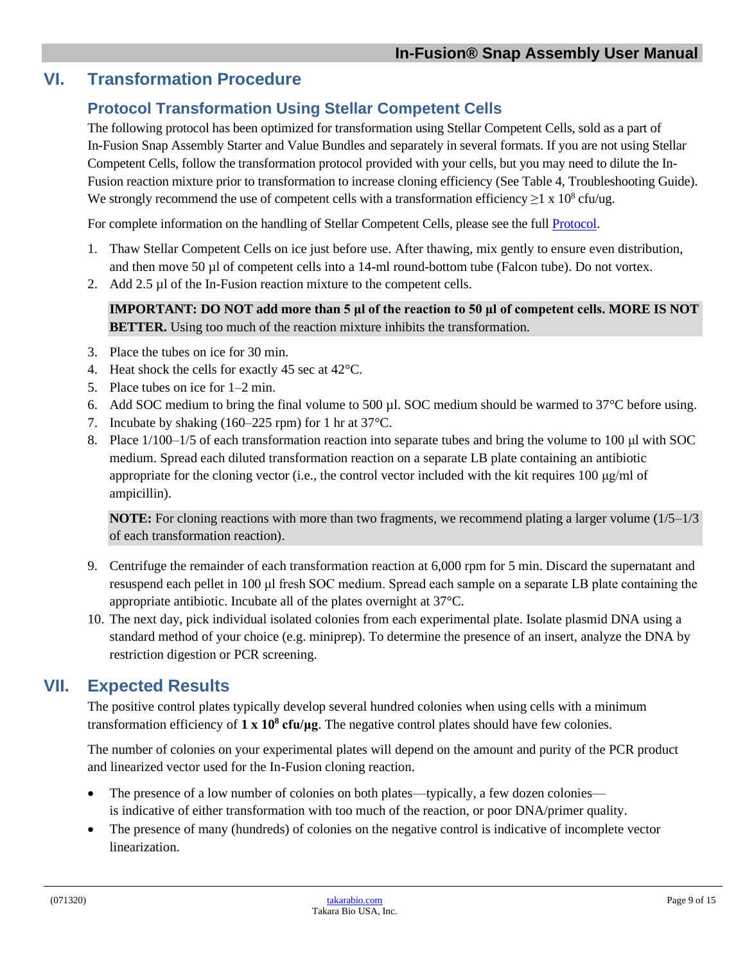#### <span id="page-8-1"></span><span id="page-8-0"></span>**VI. Transformation Procedure**

#### **Protocol Transformation Using Stellar Competent Cells**

The following protocol has been optimized for transformation using Stellar Competent Cells, sold as a part of In-Fusion Snap Assembly Starter and Value Bundles and separately in several formats. If you are not using Stellar Competent Cells, follow the transformation protocol provided with your cells, but you may need to dilute the In-Fusion reaction mixture prior to transformation to increase cloning efficiency (See Table 4, Troubleshooting Guide). We strongly recommend the use of competent cells with a transformation efficiency  $\geq 1 \times 10^8$  cfu/ug.

For complete information on the handling of Stellar Competent Cells, please see the full [Protocol.](http://www.takarabio.com/resourcedocument/x33081)

- 1. Thaw Stellar Competent Cells on ice just before use. After thawing, mix gently to ensure even distribution, and then move 50 µl of competent cells into a 14-ml round-bottom tube (Falcon tube). Do not vortex.
- 2. Add 2.5 µl of the In-Fusion reaction mixture to the competent cells.

**IMPORTANT: DO NOT add more than 5 μl of the reaction to 50 μl of competent cells. MORE IS NOT BETTER.** Using too much of the reaction mixture inhibits the transformation.

- 3. Place the tubes on ice for 30 min.
- 4. Heat shock the cells for exactly 45 sec at 42°C.
- 5. Place tubes on ice for 1–2 min.
- 6. Add SOC medium to bring the final volume to 500 µl. SOC medium should be warmed to 37°C before using.
- 7. Incubate by shaking (160–225 rpm) for 1 hr at 37°C.
- 8. Place 1/100–1/5 of each transformation reaction into separate tubes and bring the volume to 100 μl with SOC medium. Spread each diluted transformation reaction on a separate LB plate containing an antibiotic appropriate for the cloning vector (i.e., the control vector included with the kit requires 100  $\mu$ g/ml of ampicillin).

**NOTE:** For cloning reactions with more than two fragments, we recommend plating a larger volume (1/5–1/3) of each transformation reaction).

- 9. Centrifuge the remainder of each transformation reaction at 6,000 rpm for 5 min. Discard the supernatant and resuspend each pellet in 100 μl fresh SOC medium. Spread each sample on a separate LB plate containing the appropriate antibiotic. Incubate all of the plates overnight at 37°C.
- 10. The next day, pick individual isolated colonies from each experimental plate. Isolate plasmid DNA using a standard method of your choice (e.g. miniprep). To determine the presence of an insert, analyze the DNA by restriction digestion or PCR screening.

# <span id="page-8-2"></span>**VII. Expected Results**

The positive control plates typically develop several hundred colonies when using cells with a minimum transformation efficiency of **1 x 10<sup>8</sup> cfu/μg**. The negative control plates should have few colonies.

The number of colonies on your experimental plates will depend on the amount and purity of the PCR product and linearized vector used for the In-Fusion cloning reaction.

- The presence of a low number of colonies on both plates—typically, a few dozen colonies is indicative of either transformation with too much of the reaction, or poor DNA/primer quality.
- The presence of many (hundreds) of colonies on the negative control is indicative of incomplete vector linearization.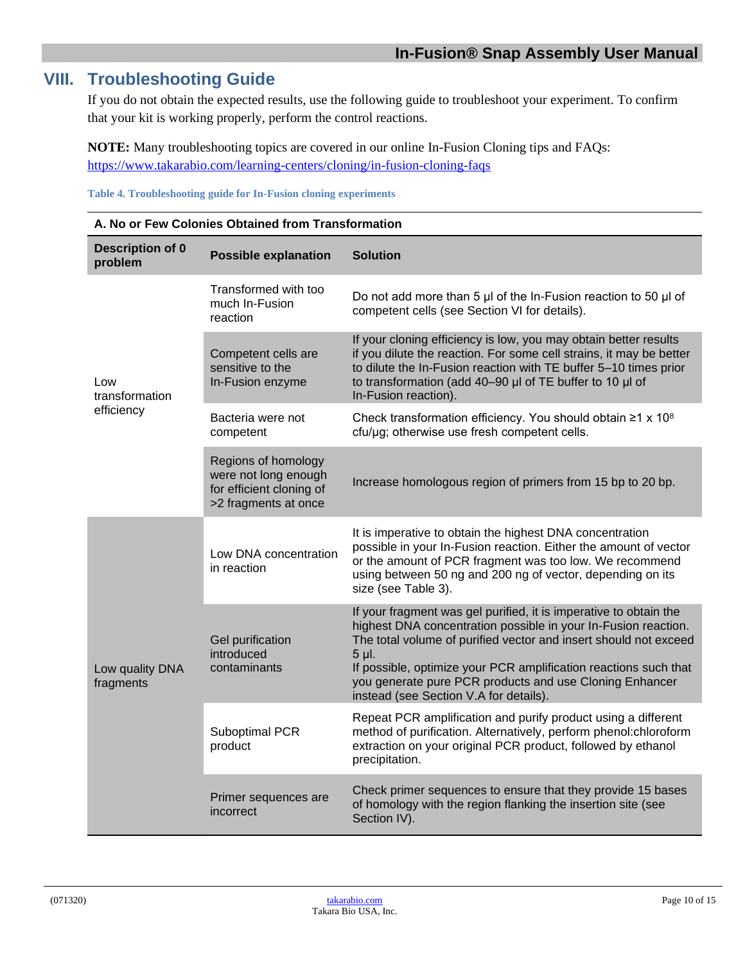## <span id="page-9-0"></span>**VIII. Troubleshooting Guide**

If you do not obtain the expected results, use the following guide to troubleshoot your experiment. To confirm that your kit is working properly, perform the control reactions.

**NOTE:** Many troubleshooting topics are covered in our online In-Fusion Cloning tips and FAQs: <https://www.takarabio.com/learning-centers/cloning/in-fusion-cloning-faqs>

<span id="page-9-1"></span>**Table 4. Troubleshooting guide for In-Fusion cloning experiments**

| A. No or Few Colonies Obtained from Transformation |                                                                                                 |                                                                                                                                                                                                                                                                                                                                                                                           |  |  |
|----------------------------------------------------|-------------------------------------------------------------------------------------------------|-------------------------------------------------------------------------------------------------------------------------------------------------------------------------------------------------------------------------------------------------------------------------------------------------------------------------------------------------------------------------------------------|--|--|
| <b>Description of 0</b><br>problem                 | <b>Possible explanation</b>                                                                     | <b>Solution</b>                                                                                                                                                                                                                                                                                                                                                                           |  |  |
|                                                    | Transformed with too<br>much In-Fusion<br>reaction                                              | Do not add more than 5 $\mu$ of the In-Fusion reaction to 50 $\mu$ of<br>competent cells (see Section VI for details).                                                                                                                                                                                                                                                                    |  |  |
| Low<br>transformation                              | Competent cells are<br>sensitive to the<br>In-Fusion enzyme                                     | If your cloning efficiency is low, you may obtain better results<br>if you dilute the reaction. For some cell strains, it may be better<br>to dilute the In-Fusion reaction with TE buffer 5-10 times prior<br>to transformation (add 40-90 µl of TE buffer to 10 µl of<br>In-Fusion reaction).                                                                                           |  |  |
| efficiency                                         | Bacteria were not<br>competent                                                                  | Check transformation efficiency. You should obtain $\geq 1 \times 10^8$<br>cfu/µg; otherwise use fresh competent cells.                                                                                                                                                                                                                                                                   |  |  |
|                                                    | Regions of homology<br>were not long enough<br>for efficient cloning of<br>>2 fragments at once | Increase homologous region of primers from 15 bp to 20 bp.                                                                                                                                                                                                                                                                                                                                |  |  |
|                                                    | Low DNA concentration<br>in reaction                                                            | It is imperative to obtain the highest DNA concentration<br>possible in your In-Fusion reaction. Either the amount of vector<br>or the amount of PCR fragment was too low. We recommend<br>using between 50 ng and 200 ng of vector, depending on its<br>size (see Table 3).                                                                                                              |  |  |
| Low quality DNA<br>fragments                       | Gel purification<br>introduced<br>contaminants                                                  | If your fragment was gel purified, it is imperative to obtain the<br>highest DNA concentration possible in your In-Fusion reaction.<br>The total volume of purified vector and insert should not exceed<br>5 µl.<br>If possible, optimize your PCR amplification reactions such that<br>you generate pure PCR products and use Cloning Enhancer<br>instead (see Section V.A for details). |  |  |
|                                                    | Suboptimal PCR<br>product                                                                       | Repeat PCR amplification and purify product using a different<br>method of purification. Alternatively, perform phenol:chloroform<br>extraction on your original PCR product, followed by ethanol<br>precipitation.                                                                                                                                                                       |  |  |
|                                                    | Primer sequences are<br>incorrect                                                               | Check primer sequences to ensure that they provide 15 bases<br>of homology with the region flanking the insertion site (see<br>Section IV).                                                                                                                                                                                                                                               |  |  |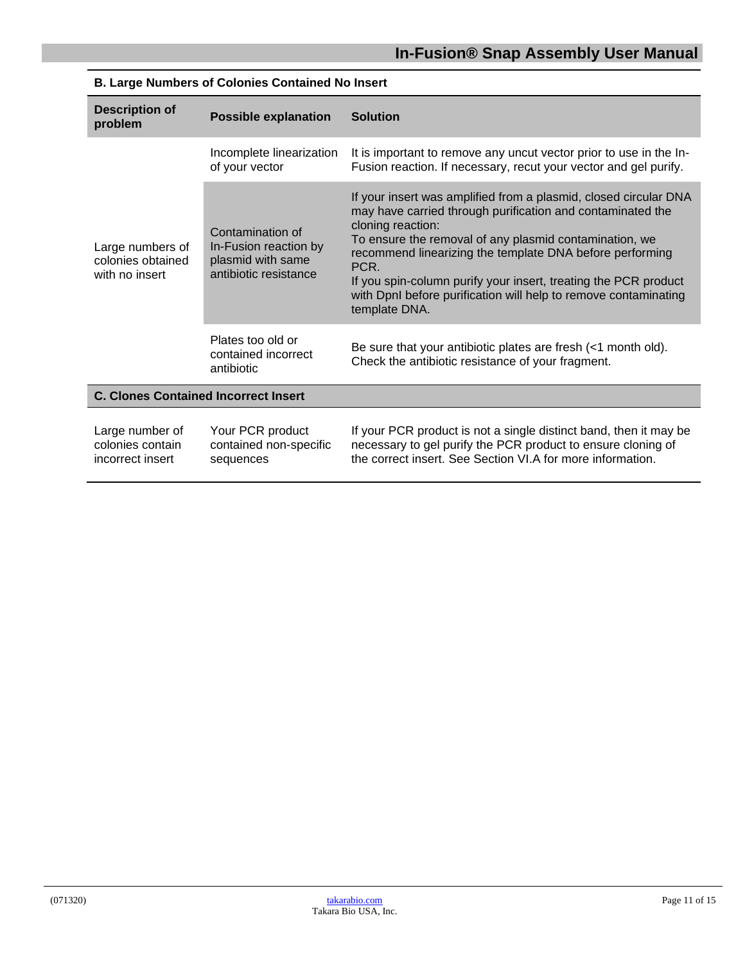| <b>Description of</b><br>problem                        | <b>Possible explanation</b>                                                             | <b>Solution</b>                                                                                                                                                                                                                                                                                                                                                                                                                          |  |
|---------------------------------------------------------|-----------------------------------------------------------------------------------------|------------------------------------------------------------------------------------------------------------------------------------------------------------------------------------------------------------------------------------------------------------------------------------------------------------------------------------------------------------------------------------------------------------------------------------------|--|
|                                                         | Incomplete linearization<br>of your vector                                              | It is important to remove any uncut vector prior to use in the In-<br>Fusion reaction. If necessary, recut your vector and gel purify.                                                                                                                                                                                                                                                                                                   |  |
| Large numbers of<br>colonies obtained<br>with no insert | Contamination of<br>In-Fusion reaction by<br>plasmid with same<br>antibiotic resistance | If your insert was amplified from a plasmid, closed circular DNA<br>may have carried through purification and contaminated the<br>cloning reaction:<br>To ensure the removal of any plasmid contamination, we<br>recommend linearizing the template DNA before performing<br>PCR.<br>If you spin-column purify your insert, treating the PCR product<br>with DpnI before purification will help to remove contaminating<br>template DNA. |  |
|                                                         | Plates too old or<br>contained incorrect<br>antibiotic                                  | Be sure that your antibiotic plates are fresh (<1 month old).<br>Check the antibiotic resistance of your fragment.                                                                                                                                                                                                                                                                                                                       |  |
| <b>C. Clones Contained Incorrect Insert</b>             |                                                                                         |                                                                                                                                                                                                                                                                                                                                                                                                                                          |  |
| Large number of<br>colonies contain<br>incorrect insert | Your PCR product<br>contained non-specific<br>sequences                                 | If your PCR product is not a single distinct band, then it may be<br>necessary to gel purify the PCR product to ensure cloning of<br>the correct insert. See Section VLA for more information.                                                                                                                                                                                                                                           |  |

#### **B. Large Numbers of Colonies Contained No Insert**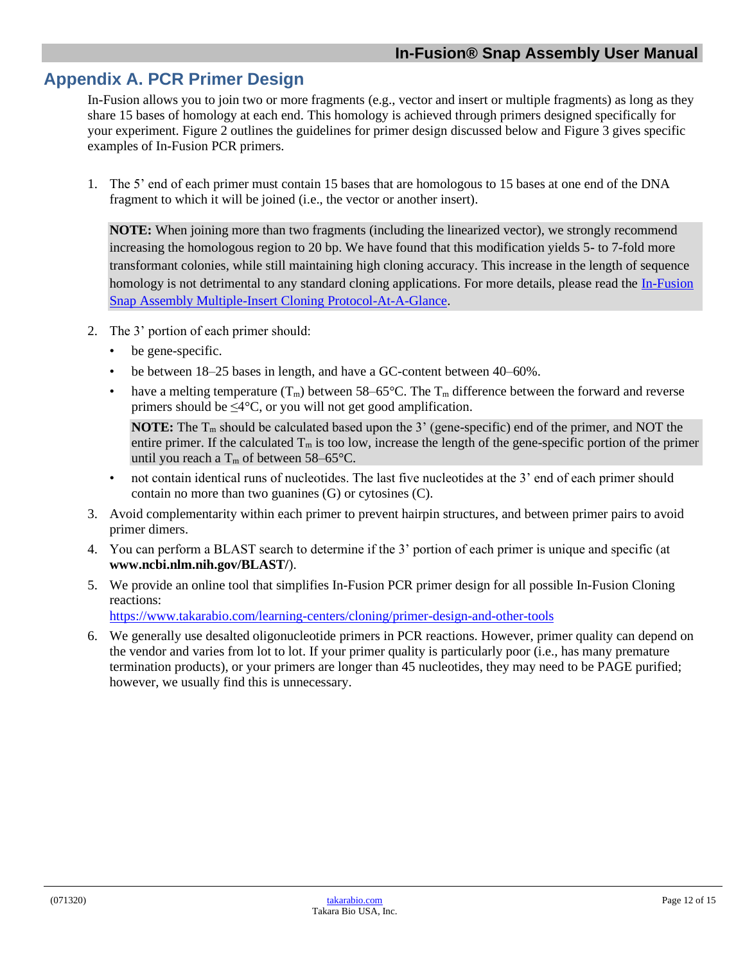# <span id="page-11-0"></span>**Appendix A. PCR Primer Design**

In-Fusion allows you to join two or more fragments (e.g., vector and insert or multiple fragments) as long as they share 15 bases of homology at each end. This homology is achieved through primers designed specifically for your experiment. Figure 2 outlines the guidelines for primer design discussed below and Figure 3 gives specific examples of In-Fusion PCR primers.

1. The 5' end of each primer must contain 15 bases that are homologous to 15 bases at one end of the DNA fragment to which it will be joined (i.e., the vector or another insert).

**NOTE:** When joining more than two fragments (including the linearized vector), we strongly recommend increasing the homologous region to 20 bp. We have found that this modification yields 5- to 7-fold more transformant colonies, while still maintaining high cloning accuracy. This increase in the length of sequence homology is not detrimental to any standard cloning applications. For more details, please read the In-Fusion [Snap Assembly Multiple-Insert Cloning Protocol-At-A-Glance.](https://www.takarabio.com/resourcedocument/x111003)

- 2. The 3' portion of each primer should:
	- be gene-specific.
	- be between  $18-25$  bases in length, and have a GC-content between  $40-60\%$ .
	- have a melting temperature  $(T_m)$  between 58–65°C. The  $T_m$  difference between the forward and reverse primers should be  $\leq 4^{\circ}C$ , or you will not get good amplification.

**NOTE:** The  $T_m$  should be calculated based upon the 3' (gene-specific) end of the primer, and NOT the entire primer. If the calculated  $T_m$  is too low, increase the length of the gene-specific portion of the primer until you reach a  $T_m$  of between 58–65 $\degree$ C.

- not contain identical runs of nucleotides. The last five nucleotides at the 3' end of each primer should contain no more than two guanines (G) or cytosines (C).
- 3. Avoid complementarity within each primer to prevent hairpin structures, and between primer pairs to avoid primer dimers.
- 4. You can perform a BLAST search to determine if the 3' portion of each primer is unique and specific (at **www.ncbi.nlm.nih.gov/BLAST/**).
- 5. We provide an online tool that simplifies In-Fusion PCR primer design for all possible In-Fusion Cloning reactions:

<https://www.takarabio.com/learning-centers/cloning/primer-design-and-other-tools>

6. We generally use desalted oligonucleotide primers in PCR reactions. However, primer quality can depend on the vendor and varies from lot to lot. If your primer quality is particularly poor (i.e., has many premature termination products), or your primers are longer than 45 nucleotides, they may need to be PAGE purified; however, we usually find this is unnecessary.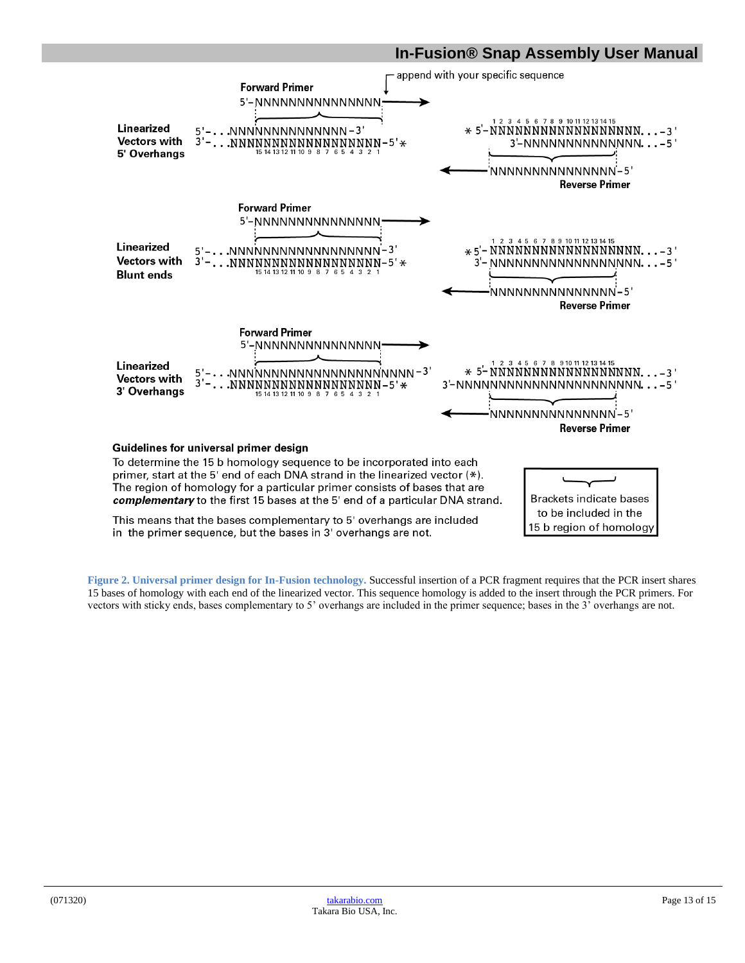#### **In-Fusion® Snap Assembly User Manual**



in the primer sequence, but the bases in 3' overhangs are not.

<span id="page-12-0"></span>**Figure 2. Universal primer design for In-Fusion technology.** Successful insertion of a PCR fragment requires that the PCR insert shares 15 bases of homology with each end of the linearized vector. This sequence homology is added to the insert through the PCR primers. For vectors with sticky ends, bases complementary to 5' overhangs are included in the primer sequence; bases in the 3' overhangs are not.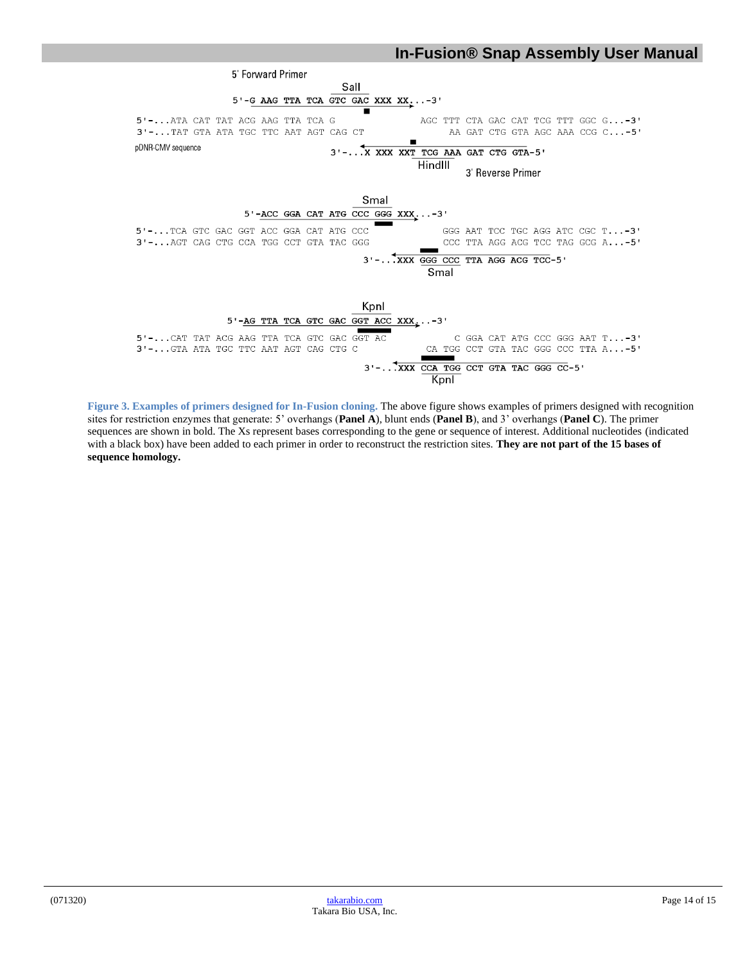

<span id="page-13-0"></span>**Figure 3. Examples of primers designed for In-Fusion cloning.** The above figure shows examples of primers designed with recognition sites for restriction enzymes that generate: 5' overhangs (**Panel A**), blunt ends (**Panel B**), and 3' overhangs (**Panel C**). The primer sequences are shown in bold. The Xs represent bases corresponding to the gene or sequence of interest. Additional nucleotides (indicated with a black box) have been added to each primer in order to reconstruct the restriction sites. **They are not part of the 15 bases of sequence homology.**